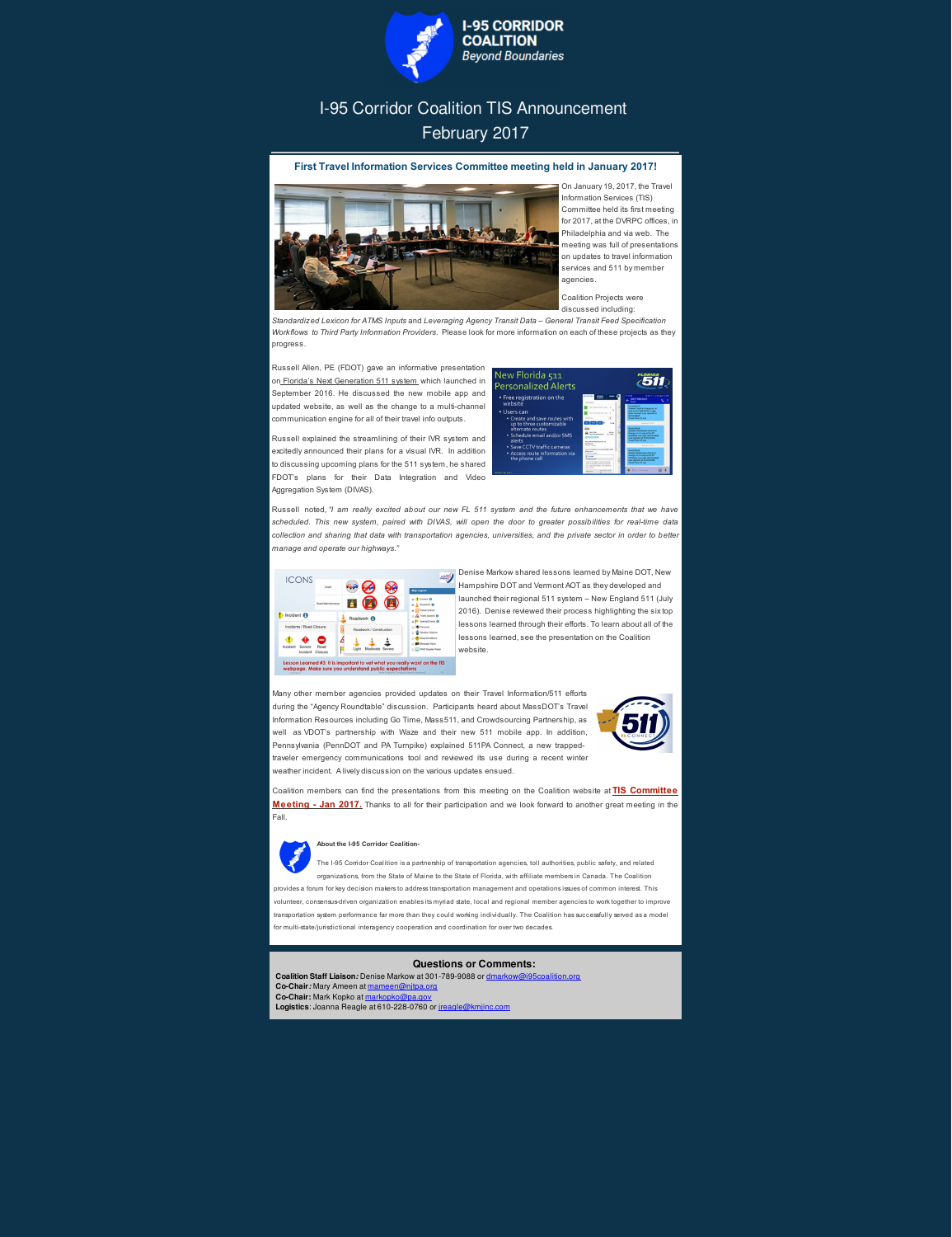

## I-95 Corridor Coalition TIS Announcement February 2017

## **First Travel Information Services Committee meeting held in January 2017!**



On January 19, 2017, the Travel Information Services (TIS) Committee held its first meeting for 2017, at the DVRPC offices, in Philadelphia and via web. The meeting was full of presentations on updates to travel information services and 511 by member agencies.

Coalition Projects were discussed including:

*Standardized Lexicon for ATMS Inputs* and *Leveraging Agency Transit Data – General Transit Feed Specification Workflows to Third Party Information Providers*. Please look for more information on each of these projects as they progress.

Russell Allen, PE (FDOT) gave an informative presentation on Florida's Next Generation 511 system which launched in September 2016. He discussed the new mobile app and updated website, as well as the change to a multi-channel communication engine for all of their travel info outputs.

Russell explained the streamlining of their IVR system and excitedly announced their plans for a visual IVR. In addition to discussing upcoming plans for the 511 system, he shared FDOT's plans for their Data Integration and Video Aggregation System (DIVAS).



Russell noted, *"I am really excited about our new FL 511 system and the future enhancements that we have* scheduled. This new system, paired with DIVAS, will open the door to greater possibilities for real-time data collection and sharing that data with transportation agencies, universities, and the private sector in order to better *manage and operate our highways."*

| <b>ICONS</b>                   | Crash                   |                         |        | <b>Map Legend</b>                                                                        |
|--------------------------------|-------------------------|-------------------------|--------|------------------------------------------------------------------------------------------|
|                                | <b>Road Maintenance</b> |                         |        | D Incident O<br><b>Postwork O</b>                                                        |
| Incident 6                     |                         | Roadwork <sup>6</sup>   |        | <b>Future Events</b><br>œ.<br>A Traffic Speeds O<br><b>E</b> Special Events <sup>O</sup> |
| Incidents / Road Closure       |                         | Roadwork / Construction |        | <b>Cameras</b><br><sup>1</sup> Weather Stations                                          |
| Incident<br>Severe<br>Incident | ∍<br>Road<br>Closure    | Moderate<br>Light       | Severe | Road Conditions<br>Message Signs<br>NWS Doppler Radar                                    |

Denise Markow shared lessons learned by Maine DOT, New Hampshire DOT and Vermont AOT as they developed and launched their regional 511 system – New England 511 (July 2016). Denise reviewed their process highlighting the sixtop lessons learned through their efforts. To learn about all of the lessons learned, see the presentation on the Coalition website.

Many other member agencies provided updates on their Travel Information/511 efforts during the "Agency Roundtable" discussion. Participants heard about MassDOT's Travel Information Resources including Go Time, Mass511, and Crowdsourcing Partnership, as



well as VDOT's partnership with Waze and their new 511 mobile app. In addition, Pennsylvania (PennDOT and PA Turnpike) explained 511PA Connect, a new trappedtraveler emergency communications tool and reviewed its use during a recent winter weather incident. A lively discussion on the various updates ensued.

Coalition members can find the presentations from this meeting on the Coalition website at **TIS Committee Meeting - Jan 2017.** Thanks to all for their participation and we look forward to another great meeting in the Fall.

## **About the I-95 Corridor Coalition-**

The I-95 Corridor Coalition is a partnership of transportation agencies, toll authorities, public safety, and related organizations, from the State of Maine to the State of Florida, with affiliate members in Canada. The Coalition provides a forum for key decision makers to address transportation management and operations issues of common interest. This volunteer, consensus-driven organization enables its myriad state, local and regional member agencies to work together to improve transportation system performance far more than they could working individually. The Coalition has successfully served as a model for multi-state/jurisdictional interagency cooperation and coordination for over two decades.

## **Questions or Comments:**

**Coalition Staff Liaison***:* Denise Markow at 301-789-9088 or dmarkow@i95coalition.org **Co-Chair***:* Mary Ameen at mameen@njtpa.org **Co-Chair:** Mark Kopko at markopko@pa.gov **Logistics**: Joanna Reagle at 610-228-0760 or jreagle@kmjinc.com